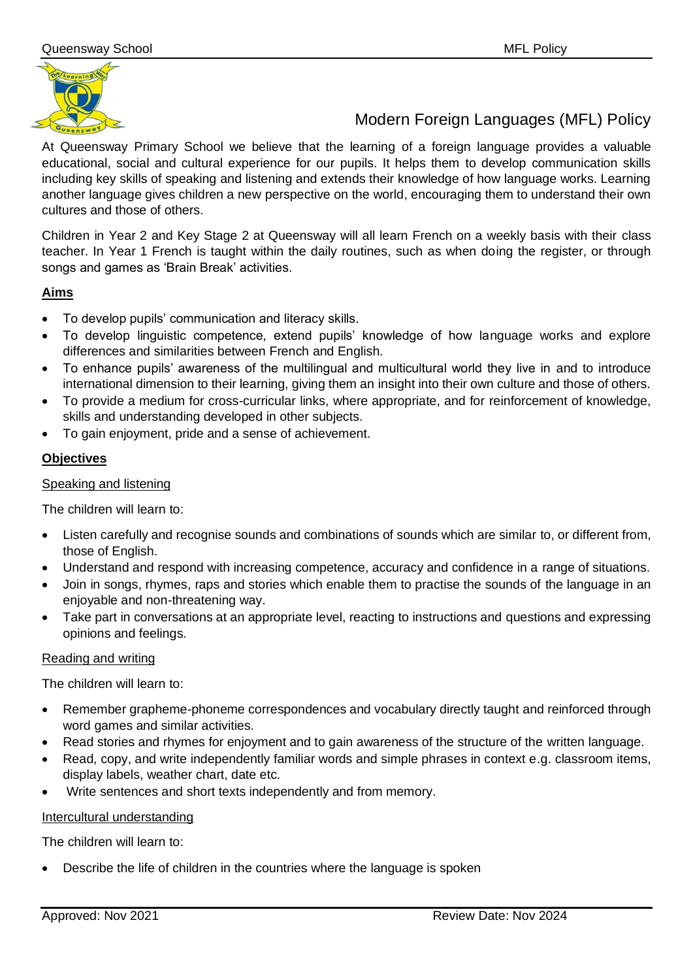

Modern Foreign Languages (MFL) Policy

At Queensway Primary School we believe that the learning of a foreign language provides a valuable educational, social and cultural experience for our pupils. It helps them to develop communication skills including key skills of speaking and listening and extends their knowledge of how language works. Learning another language gives children a new perspective on the world, encouraging them to understand their own cultures and those of others.

Children in Year 2 and Key Stage 2 at Queensway will all learn French on a weekly basis with their class teacher. In Year 1 French is taught within the daily routines, such as when doing the register, or through songs and games as 'Brain Break' activities.

# **Aims**

- To develop pupils' communication and literacy skills.
- To develop linguistic competence, extend pupils' knowledge of how language works and explore differences and similarities between French and English.
- To enhance pupils' awareness of the multilingual and multicultural world they live in and to introduce international dimension to their learning, giving them an insight into their own culture and those of others.
- To provide a medium for cross-curricular links, where appropriate, and for reinforcement of knowledge, skills and understanding developed in other subjects.
- To gain enjoyment, pride and a sense of achievement.

# **Objectives**

## Speaking and listening

The children will learn to:

- Listen carefully and recognise sounds and combinations of sounds which are similar to, or different from, those of English.
- Understand and respond with increasing competence, accuracy and confidence in a range of situations.
- Join in songs, rhymes, raps and stories which enable them to practise the sounds of the language in an enjoyable and non-threatening way.
- Take part in conversations at an appropriate level, reacting to instructions and questions and expressing opinions and feelings.

### Reading and writing

The children will learn to:

- Remember grapheme-phoneme correspondences and vocabulary directly taught and reinforced through word games and similar activities.
- Read stories and rhymes for enjoyment and to gain awareness of the structure of the written language.
- Read, copy, and write independently familiar words and simple phrases in context e.g. classroom items, display labels, weather chart, date etc.
- Write sentences and short texts independently and from memory.

### Intercultural understanding

The children will learn to:

• Describe the life of children in the countries where the language is spoken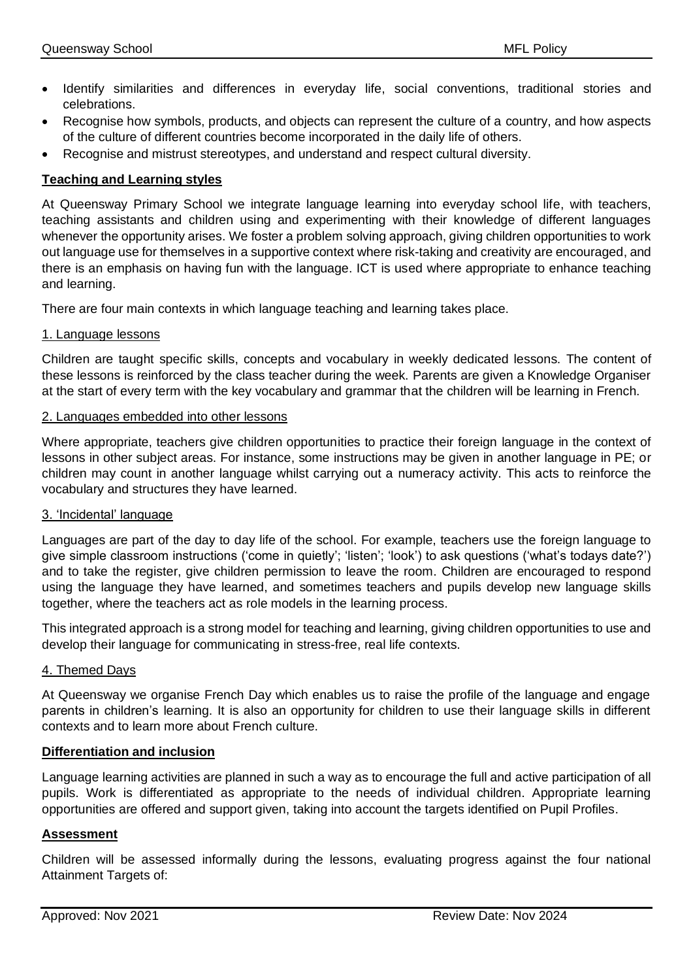- Identify similarities and differences in everyday life, social conventions, traditional stories and celebrations.
- Recognise how symbols, products, and objects can represent the culture of a country, and how aspects of the culture of different countries become incorporated in the daily life of others.
- Recognise and mistrust stereotypes, and understand and respect cultural diversity.

## **Teaching and Learning styles**

At Queensway Primary School we integrate language learning into everyday school life, with teachers, teaching assistants and children using and experimenting with their knowledge of different languages whenever the opportunity arises. We foster a problem solving approach, giving children opportunities to work out language use for themselves in a supportive context where risk-taking and creativity are encouraged, and there is an emphasis on having fun with the language. ICT is used where appropriate to enhance teaching and learning.

There are four main contexts in which language teaching and learning takes place.

#### 1. Language lessons

Children are taught specific skills, concepts and vocabulary in weekly dedicated lessons. The content of these lessons is reinforced by the class teacher during the week. Parents are given a Knowledge Organiser at the start of every term with the key vocabulary and grammar that the children will be learning in French.

### 2. Languages embedded into other lessons

Where appropriate, teachers give children opportunities to practice their foreign language in the context of lessons in other subject areas. For instance, some instructions may be given in another language in PE; or children may count in another language whilst carrying out a numeracy activity. This acts to reinforce the vocabulary and structures they have learned.

### 3. 'Incidental' language

Languages are part of the day to day life of the school. For example, teachers use the foreign language to give simple classroom instructions ('come in quietly'; 'listen'; 'look') to ask questions ('what's todays date?') and to take the register, give children permission to leave the room. Children are encouraged to respond using the language they have learned, and sometimes teachers and pupils develop new language skills together, where the teachers act as role models in the learning process.

This integrated approach is a strong model for teaching and learning, giving children opportunities to use and develop their language for communicating in stress-free, real life contexts.

### 4. Themed Days

At Queensway we organise French Day which enables us to raise the profile of the language and engage parents in children's learning. It is also an opportunity for children to use their language skills in different contexts and to learn more about French culture.

### **Differentiation and inclusion**

Language learning activities are planned in such a way as to encourage the full and active participation of all pupils. Work is differentiated as appropriate to the needs of individual children. Appropriate learning opportunities are offered and support given, taking into account the targets identified on Pupil Profiles.

### **Assessment**

Children will be assessed informally during the lessons, evaluating progress against the four national Attainment Targets of: